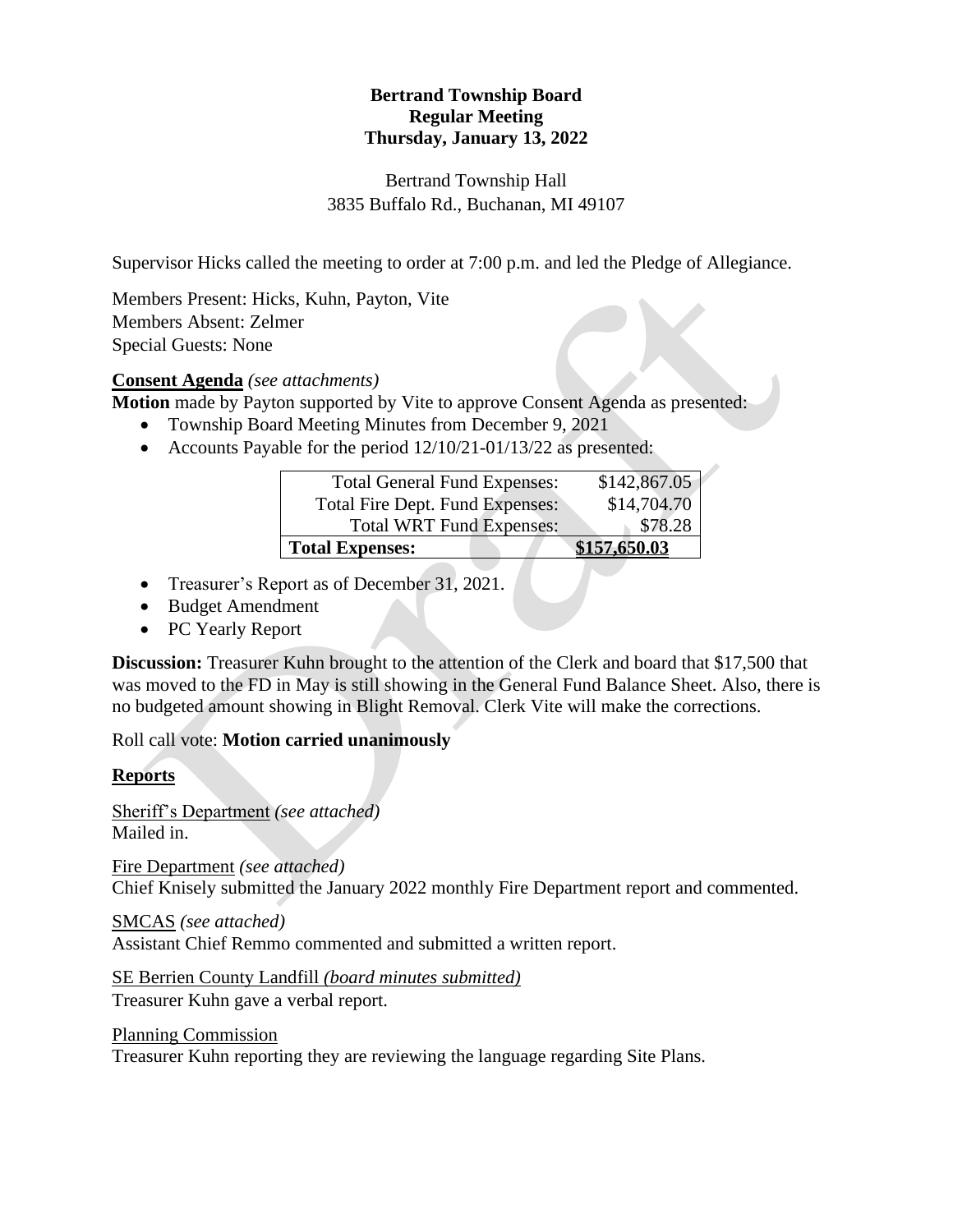## **Bertrand Township Board Regular Meeting Thursday, January 13, 2022**

#### Bertrand Township Hall 3835 Buffalo Rd., Buchanan, MI 49107

Supervisor Hicks called the meeting to order at 7:00 p.m. and led the Pledge of Allegiance.

Members Present: Hicks, Kuhn, Payton, Vite Members Absent: Zelmer Special Guests: None

## **Consent Agenda** *(see attachments)*

**Motion** made by Payton supported by Vite to approve Consent Agenda as presented:

- Township Board Meeting Minutes from December 9, 2021
- Accounts Payable for the period  $12/10/21-01/13/22$  as presented:

| <b>Total General Fund Expenses:</b> | \$142,867.05 |
|-------------------------------------|--------------|
| Total Fire Dept. Fund Expenses:     | \$14,704.70  |
| <b>Total WRT Fund Expenses:</b>     | \$78.28      |
| <b>Total Expenses:</b>              | \$157,650.03 |

- Treasurer's Report as of December 31, 2021.
- Budget Amendment
- PC Yearly Report

**Discussion:** Treasurer Kuhn brought to the attention of the Clerk and board that \$17,500 that was moved to the FD in May is still showing in the General Fund Balance Sheet. Also, there is no budgeted amount showing in Blight Removal. Clerk Vite will make the corrections.

Roll call vote: **Motion carried unanimously**

#### **Reports**

Sheriff's Department *(see attached)* Mailed in.

Fire Department *(see attached)* Chief Knisely submitted the January 2022 monthly Fire Department report and commented.

SMCAS *(see attached)* Assistant Chief Remmo commented and submitted a written report.

SE Berrien County Landfill *(board minutes submitted)* Treasurer Kuhn gave a verbal report.

Planning Commission

Treasurer Kuhn reporting they are reviewing the language regarding Site Plans.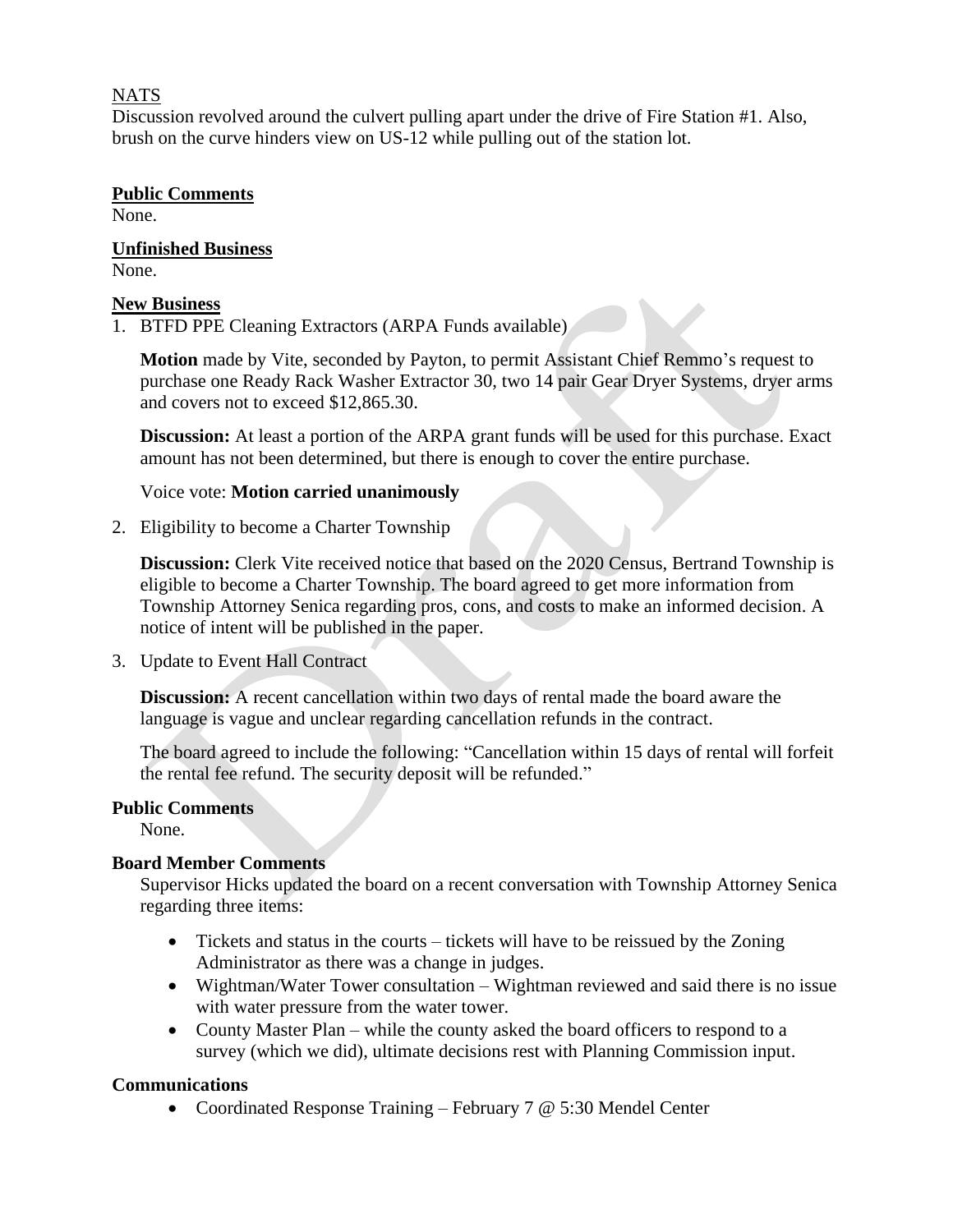#### NATS

Discussion revolved around the culvert pulling apart under the drive of Fire Station #1. Also, brush on the curve hinders view on US-12 while pulling out of the station lot.

#### **Public Comments**

None.

**Unfinished Business** None.

## **New Business**

1. BTFD PPE Cleaning Extractors (ARPA Funds available)

**Motion** made by Vite, seconded by Payton, to permit Assistant Chief Remmo's request to purchase one Ready Rack Washer Extractor 30, two 14 pair Gear Dryer Systems, dryer arms and covers not to exceed \$12,865.30.

**Discussion:** At least a portion of the ARPA grant funds will be used for this purchase. Exact amount has not been determined, but there is enough to cover the entire purchase.

## Voice vote: **Motion carried unanimously**

2. Eligibility to become a Charter Township

**Discussion:** Clerk Vite received notice that based on the 2020 Census, Bertrand Township is eligible to become a Charter Township. The board agreed to get more information from Township Attorney Senica regarding pros, cons, and costs to make an informed decision. A notice of intent will be published in the paper.

3. Update to Event Hall Contract

**Discussion:** A recent cancellation within two days of rental made the board aware the language is vague and unclear regarding cancellation refunds in the contract.

The board agreed to include the following: "Cancellation within 15 days of rental will forfeit the rental fee refund. The security deposit will be refunded."

# **Public Comments**

None.

# **Board Member Comments**

Supervisor Hicks updated the board on a recent conversation with Township Attorney Senica regarding three items:

- Tickets and status in the courts tickets will have to be reissued by the Zoning Administrator as there was a change in judges.
- Wightman/Water Tower consultation Wightman reviewed and said there is no issue with water pressure from the water tower.
- County Master Plan while the county asked the board officers to respond to a survey (which we did), ultimate decisions rest with Planning Commission input.

# **Communications**

• Coordinated Response Training – February 7 @ 5:30 Mendel Center